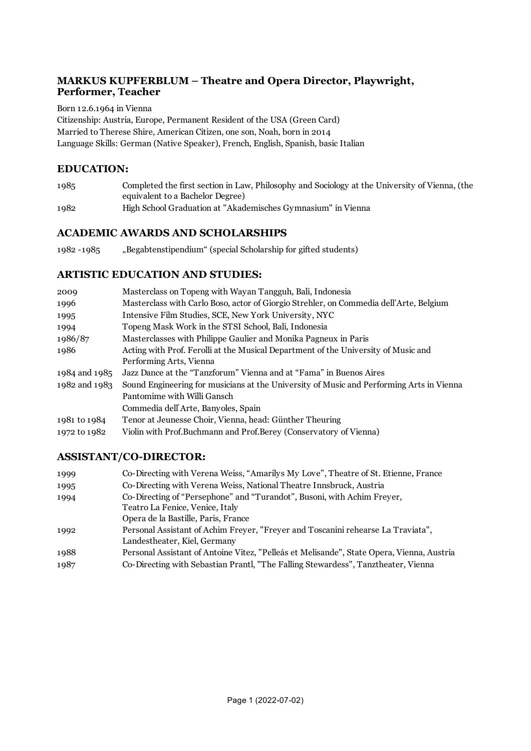### **MARKUS KUPFERBLUM – Theatre and Opera Director, Playwright, Performer, Teacher**

Born 12.6.1964 in Vienna Citizenship: Austria, Europe, Permanent Resident of the USA (Green Card) Married to Therese Shire, American Citizen, one son, Noah, born in 2014 Language Skills: German (Native Speaker), French, English, Spanish, basic Italian

### **EDUCATION:**

| 1985 | Completed the first section in Law, Philosophy and Sociology at the University of Vienna, (the |
|------|------------------------------------------------------------------------------------------------|
|      | equivalent to a Bachelor Degree)                                                               |
| 1982 | High School Graduation at "Akademisches Gymnasium" in Vienna                                   |

### **ACADEMIC AWARDS AND SCHOLARSHIPS**

1982 -1985 "Begabtenstipendium" (special Scholarship for gifted students)

#### **ARTISTIC EDUCATION AND STUDIES:**

| 2009          | Masterclass on Topeng with Wayan Tangguh, Bali, Indonesia                                |
|---------------|------------------------------------------------------------------------------------------|
| 1996          | Masterclass with Carlo Boso, actor of Giorgio Strehler, on Commedia dell'Arte, Belgium   |
| 1995          | Intensive Film Studies, SCE, New York University, NYC                                    |
| 1994          | Topeng Mask Work in the STSI School, Bali, Indonesia                                     |
| 1986/87       | Masterclasses with Philippe Gaulier and Monika Pagneux in Paris                          |
| 1986          | Acting with Prof. Ferolli at the Musical Department of the University of Music and       |
|               | Performing Arts, Vienna                                                                  |
| 1984 and 1985 | Jazz Dance at the "Tanzforum" Vienna and at "Fama" in Buenos Aires                       |
| 1982 and 1983 | Sound Engineering for musicians at the University of Music and Performing Arts in Vienna |
|               | Pantomime with Willi Gansch                                                              |
|               | Commedia dell'Arte, Banyoles, Spain                                                      |
| 1981 to 1984  | Tenor at Jeunesse Choir, Vienna, head: Günther Theuring                                  |
| 1972 to 1982  | Violin with Prof.Buchmann and Prof.Berey (Conservatory of Vienna)                        |
|               |                                                                                          |

### **ASSISTANT/CO-DIRECTOR:**

| 1999 | Co-Directing with Verena Weiss, "Amarilys My Love", Theatre of St. Etienne, France        |
|------|-------------------------------------------------------------------------------------------|
| 1995 | Co-Directing with Verena Weiss, National Theatre Innsbruck, Austria                       |
| 1994 | Co-Directing of "Persephone" and "Turandot", Busoni, with Achim Freyer,                   |
|      | Teatro La Fenice, Venice, Italy                                                           |
|      | Opera de la Bastille, Paris, France                                                       |
| 1992 | Personal Assistant of Achim Freyer, "Freyer and Toscanini rehearse La Traviata",          |
|      | Landestheater, Kiel, Germany                                                              |
| 1988 | Personal Assistant of Antoine Vitez, "Pelleás et Melisande", State Opera, Vienna, Austria |
| 1987 | Co-Directing with Sebastian Prantl, "The Falling Stewardess", Tanztheater, Vienna         |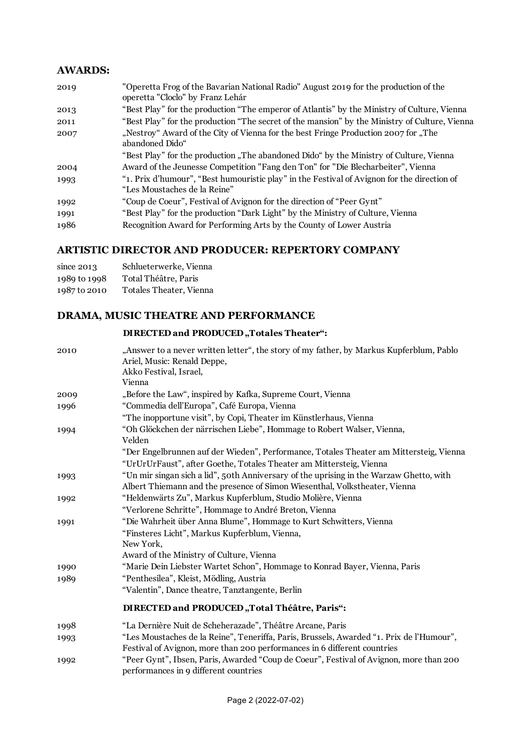### **AWARDS:**

| 2019 | "Operetta Frog of the Bavarian National Radio" August 2019 for the production of the<br>operetta "Cloclo" by Franz Lehár    |
|------|-----------------------------------------------------------------------------------------------------------------------------|
| 2013 | "Best Play" for the production "The emperor of Atlantis" by the Ministry of Culture, Vienna                                 |
| 2011 | "Best Play" for the production "The secret of the mansion" by the Ministry of Culture, Vienna                               |
| 2007 | "Nestroy" Award of the City of Vienna for the best Fringe Production 2007 for "The<br>abandoned Dido"                       |
|      | "Best Play" for the production "The abandoned Dido" by the Ministry of Culture, Vienna                                      |
| 2004 | Award of the Jeunesse Competition "Fang den Ton" for "Die Blecharbeiter", Vienna                                            |
| 1993 | "1. Prix d'humour", "Best humouristic play" in the Festival of Avignon for the direction of<br>"Les Moustaches de la Reine" |
| 1992 | "Coup de Coeur", Festival of Avignon for the direction of "Peer Gynt"                                                       |
| 1991 | "Best Play" for the production "Dark Light" by the Ministry of Culture, Vienna                                              |
| 1986 | Recognition Award for Performing Arts by the County of Lower Austria                                                        |

# **ARTISTIC DIRECTOR AND PRODUCER: REPERTORY COMPANY**

| since $2013$ | Schlueterwerke, Vienna  |
|--------------|-------------------------|
| 1989 to 1998 | Total Théâtre, Paris    |
| 1987 to 2010 | Totales Theater, Vienna |

# **DRAMA, MUSIC THEATRE AND PERFORMANCE**

|      | DIRECTED and PRODUCED, Totales Theater":                                                                                                                              |
|------|-----------------------------------------------------------------------------------------------------------------------------------------------------------------------|
| 2010 | "Answer to a never written letter", the story of my father, by Markus Kupferblum, Pablo<br>Ariel, Music: Renald Deppe,<br>Akko Festival, Israel,<br>Vienna            |
| 2009 | "Before the Law", inspired by Kafka, Supreme Court, Vienna                                                                                                            |
| 1996 | "Commedia dell'Europa", Café Europa, Vienna                                                                                                                           |
|      | "The inopportune visit", by Copi, Theater im Künstlerhaus, Vienna                                                                                                     |
| 1994 | "Oh Glöckchen der närrischen Liebe", Hommage to Robert Walser, Vienna,<br>Velden                                                                                      |
|      | "Der Engelbrunnen auf der Wieden", Performance, Totales Theater am Mittersteig, Vienna<br>"UrUrUrFaust", after Goethe, Totales Theater am Mittersteig, Vienna         |
| 1993 | "Un mir singan sich a lid", 50th Anniversary of the uprising in the Warzaw Ghetto, with<br>Albert Thiemann and the presence of Simon Wiesenthal, Volkstheater, Vienna |
| 1992 | "Heldenwärts Zu", Markus Kupferblum, Studio Molière, Vienna                                                                                                           |
|      | "Verlorene Schritte", Hommage to André Breton, Vienna                                                                                                                 |
| 1991 | "Die Wahrheit über Anna Blume", Hommage to Kurt Schwitters, Vienna                                                                                                    |
|      | "Finsteres Licht", Markus Kupferblum, Vienna,                                                                                                                         |
|      | New York,                                                                                                                                                             |
|      | Award of the Ministry of Culture, Vienna                                                                                                                              |
| 1990 | "Marie Dein Liebster Wartet Schon", Hommage to Konrad Bayer, Vienna, Paris                                                                                            |
| 1989 | "Penthesilea", Kleist, Mödling, Austria                                                                                                                               |
|      | "Valentin", Dance theatre, Tanztangente, Berlin                                                                                                                       |
|      | DIRECTED and PRODUCED "Total Théâtre, Paris":                                                                                                                         |
| 1998 | "La Dernière Nuit de Scheherazade", Théâtre Arcane, Paris                                                                                                             |
| 1993 | "Les Moustaches de la Reine", Teneriffa, Paris, Brussels, Awarded "1. Prix de l'Humour",<br>Festival of Avignon, more than 200 performances in 6 different countries  |
| 1992 | "Peer Gynt", Ibsen, Paris, Awarded "Coup de Coeur", Festival of Avignon, more than 200<br>performances in 9 different countries                                       |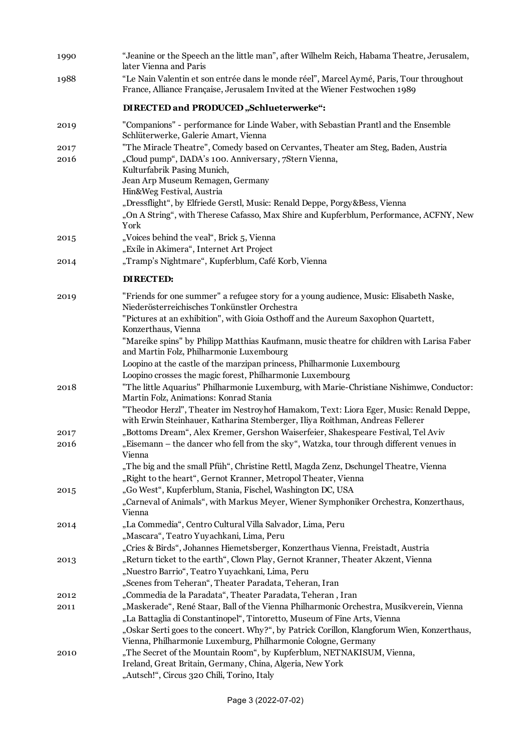| 1990 | "Jeanine or the Speech an the little man", after Wilhelm Reich, Habama Theatre, Jerusalem,<br>later Vienna and Paris                                                                                                        |
|------|-----------------------------------------------------------------------------------------------------------------------------------------------------------------------------------------------------------------------------|
| 1988 | "Le Nain Valentin et son entrée dans le monde réel", Marcel Aymé, Paris, Tour throughout<br>France, Alliance Française, Jerusalem Invited at the Wiener Festwochen 1989                                                     |
|      | DIRECTED and PRODUCED "Schlueterwerke":                                                                                                                                                                                     |
| 2019 | "Companions" - performance for Linde Waber, with Sebastian Prantl and the Ensemble<br>Schlüterwerke, Galerie Amart, Vienna                                                                                                  |
| 2017 | "The Miracle Theatre", Comedy based on Cervantes, Theater am Steg, Baden, Austria                                                                                                                                           |
| 2016 | "Cloud pump", DADA's 100. Anniversary, 7Stern Vienna,<br>Kulturfabrik Pasing Munich,<br>Jean Arp Museum Remagen, Germany<br>Hin&Weg Festival, Austria                                                                       |
|      | "Dressflight", by Elfriede Gerstl, Music: Renald Deppe, Porgy&Bess, Vienna<br>"On A String", with Therese Cafasso, Max Shire and Kupferblum, Performance, ACFNY, New<br>York                                                |
| 2015 | "Voices behind the veal", Brick 5, Vienna<br>"Exile in Akimera", Internet Art Project                                                                                                                                       |
| 2014 | "Tramp's Nightmare", Kupferblum, Café Korb, Vienna                                                                                                                                                                          |
|      | <b>DIRECTED:</b>                                                                                                                                                                                                            |
| 2019 | "Friends for one summer" a refugee story for a young audience, Music: Elisabeth Naske,<br>Niederösterreichisches Tonkünstler Orchestra<br>"Pictures at an exhibition", with Gioia Osthoff and the Aureum Saxophon Quartett, |
|      | Konzerthaus, Vienna<br>"Mareike spins" by Philipp Matthias Kaufmann, music theatre for children with Larisa Faber<br>and Martin Folz, Philharmonie Luxembourg                                                               |
|      | Loopino at the castle of the marzipan princess, Philharmonie Luxembourg                                                                                                                                                     |
| 2018 | Loopino crosses the magic forest, Philharmonie Luxembourg<br>"The little Aquarius" Philharmonie Luxemburg, with Marie-Christiane Nishimwe, Conductor:<br>Martin Folz, Animations: Konrad Stania                             |
|      | "Theodor Herzl", Theater im Nestroyhof Hamakom, Text: Liora Eger, Music: Renald Deppe,<br>with Erwin Steinhauer, Katharina Stemberger, Iliya Roithman, Andreas Fellerer                                                     |
| 2017 | "Bottoms Dream", Alex Kremer, Gershon Waiserfeier, Shakespeare Festival, Tel Aviv                                                                                                                                           |
| 2016 | "Eisemann – the dancer who fell from the sky", Watzka, tour through different venues in<br>Vienna                                                                                                                           |
|      | "The big and the small Pfüh", Christine Rettl, Magda Zenz, Dschungel Theatre, Vienna<br>"Right to the heart", Gernot Kranner, Metropol Theater, Vienna                                                                      |
| 2015 | "Go West", Kupferblum, Stania, Fischel, Washington DC, USA<br>"Carneval of Animals", with Markus Meyer, Wiener Symphoniker Orchestra, Konzerthaus,<br>Vienna                                                                |
| 2014 | "La Commedia", Centro Cultural Villa Salvador, Lima, Peru<br>"Mascara", Teatro Yuyachkani, Lima, Peru                                                                                                                       |
|      | "Cries & Birds", Johannes Hiemetsberger, Konzerthaus Vienna, Freistadt, Austria                                                                                                                                             |
| 2013 | "Return ticket to the earth", Clown Play, Gernot Kranner, Theater Akzent, Vienna<br>"Nuestro Barrio", Teatro Yuyachkani, Lima, Peru                                                                                         |
|      | "Scenes from Teheran", Theater Paradata, Teheran, Iran                                                                                                                                                                      |
| 2012 | "Commedia de la Paradata", Theater Paradata, Teheran, Iran                                                                                                                                                                  |
| 2011 | "Maskerade", René Staar, Ball of the Vienna Philharmonic Orchestra, Musikverein, Vienna                                                                                                                                     |
|      | "La Battaglia di Constantinopel", Tintoretto, Museum of Fine Arts, Vienna                                                                                                                                                   |
|      | "Oskar Serti goes to the concert. Why?", by Patrick Corillon, Klangforum Wien, Konzerthaus,<br>Vienna, Philharmonie Luxemburg, Philharmonie Cologne, Germany                                                                |
| 2010 | "The Secret of the Mountain Room", by Kupferblum, NETNAKISUM, Vienna,<br>Ireland, Great Britain, Germany, China, Algeria, New York<br>"Autsch!", Circus 320 Chili, Torino, Italy                                            |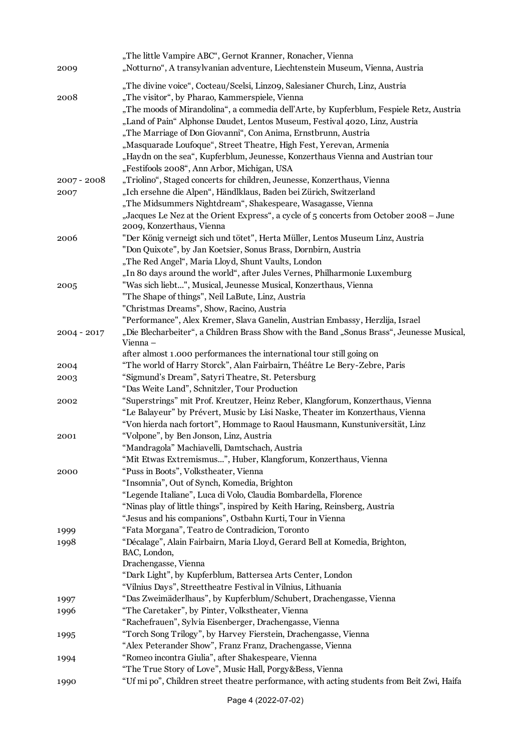| 2009          | "The little Vampire ABC", Gernot Kranner, Ronacher, Vienna<br>"Notturno", A transylvanian adventure, Liechtenstein Museum, Vienna, Austria                                                                                                                                                                                                                                                                                                                                                                                                                                        |
|---------------|-----------------------------------------------------------------------------------------------------------------------------------------------------------------------------------------------------------------------------------------------------------------------------------------------------------------------------------------------------------------------------------------------------------------------------------------------------------------------------------------------------------------------------------------------------------------------------------|
| 2008          | "The divine voice", Cocteau/Scelsi, Linzo9, Salesianer Church, Linz, Austria<br>"The visitor", by Pharao, Kammerspiele, Vienna<br>"The moods of Mirandolina", a commedia dell'Arte, by Kupferblum, Fespiele Retz, Austria<br>"Land of Pain" Alphonse Daudet, Lentos Museum, Festival 4020, Linz, Austria<br>"The Marriage of Don Giovanni", Con Anima, Ernstbrunn, Austria<br>"Masquarade Loufoque", Street Theatre, High Fest, Yerevan, Armenia<br>"Haydn on the sea", Kupferblum, Jeunesse, Konzerthaus Vienna and Austrian tour<br>"Festifools 2008", Ann Arbor, Michigan, USA |
| $2007 - 2008$ | "Triolino", Staged concerts for children, Jeunesse, Konzerthaus, Vienna                                                                                                                                                                                                                                                                                                                                                                                                                                                                                                           |
| 2007          | "Ich ersehne die Alpen", Händlklaus, Baden bei Zürich, Switzerland                                                                                                                                                                                                                                                                                                                                                                                                                                                                                                                |
|               | "The Midsummers Nightdream", Shakespeare, Wasagasse, Vienna                                                                                                                                                                                                                                                                                                                                                                                                                                                                                                                       |
|               | "Jacques Le Nez at the Orient Express", a cycle of 5 concerts from October 2008 - June<br>2009, Konzerthaus, Vienna                                                                                                                                                                                                                                                                                                                                                                                                                                                               |
| 2006          | "Der König verneigt sich und tötet", Herta Müller, Lentos Museum Linz, Austria                                                                                                                                                                                                                                                                                                                                                                                                                                                                                                    |
|               | "Don Quixote", by Jan Koetsier, Sonus Brass, Dornbirn, Austria                                                                                                                                                                                                                                                                                                                                                                                                                                                                                                                    |
|               | "The Red Angel", Maria Lloyd, Shunt Vaults, London                                                                                                                                                                                                                                                                                                                                                                                                                                                                                                                                |
|               | "In 80 days around the world", after Jules Vernes, Philharmonie Luxemburg                                                                                                                                                                                                                                                                                                                                                                                                                                                                                                         |
| 2005          | "Was sich liebt", Musical, Jeunesse Musical, Konzerthaus, Vienna                                                                                                                                                                                                                                                                                                                                                                                                                                                                                                                  |
|               | "The Shape of things", Neil LaBute, Linz, Austria                                                                                                                                                                                                                                                                                                                                                                                                                                                                                                                                 |
|               | "Christmas Dreams", Show, Racino, Austria                                                                                                                                                                                                                                                                                                                                                                                                                                                                                                                                         |
|               | "Performance", Alex Kremer, Slava Ganelin, Austrian Embassy, Herzlija, Israel                                                                                                                                                                                                                                                                                                                                                                                                                                                                                                     |
| $2004 - 2017$ | "Die Blecharbeiter", a Children Brass Show with the Band "Sonus Brass", Jeunesse Musical,<br>Vienna-                                                                                                                                                                                                                                                                                                                                                                                                                                                                              |
|               | after almost 1.000 performances the international tour still going on                                                                                                                                                                                                                                                                                                                                                                                                                                                                                                             |
| 2004          | "The world of Harry Storck", Alan Fairbairn, Théâtre Le Bery-Zebre, Paris                                                                                                                                                                                                                                                                                                                                                                                                                                                                                                         |
| 2003          | "Sigmund's Dream", Satyri Theatre, St. Petersburg<br>"Das Weite Land", Schnitzler, Tour Production                                                                                                                                                                                                                                                                                                                                                                                                                                                                                |
| 2002          | "Superstrings" mit Prof. Kreutzer, Heinz Reber, Klangforum, Konzerthaus, Vienna<br>"Le Balayeur" by Prévert, Music by Lisi Naske, Theater im Konzerthaus, Vienna<br>"Von hierda nach fortort", Hommage to Raoul Hausmann, Kunstuniversität, Linz                                                                                                                                                                                                                                                                                                                                  |
| 2001          | "Volpone", by Ben Jonson, Linz, Austria                                                                                                                                                                                                                                                                                                                                                                                                                                                                                                                                           |
|               | "Mandragola" Machiavelli, Damtschach, Austria                                                                                                                                                                                                                                                                                                                                                                                                                                                                                                                                     |
|               | "Mit Etwas Extremismus", Huber, Klangforum, Konzerthaus, Vienna                                                                                                                                                                                                                                                                                                                                                                                                                                                                                                                   |
| 2000          | "Puss in Boots", Volkstheater, Vienna                                                                                                                                                                                                                                                                                                                                                                                                                                                                                                                                             |
|               | "Insomnia", Out of Synch, Komedia, Brighton                                                                                                                                                                                                                                                                                                                                                                                                                                                                                                                                       |
|               | "Legende Italiane", Luca di Volo, Claudia Bombardella, Florence                                                                                                                                                                                                                                                                                                                                                                                                                                                                                                                   |
|               | "Ninas play of little things", inspired by Keith Haring, Reinsberg, Austria                                                                                                                                                                                                                                                                                                                                                                                                                                                                                                       |
|               | "Jesus and his companions", Ostbahn Kurti, Tour in Vienna                                                                                                                                                                                                                                                                                                                                                                                                                                                                                                                         |
| 1999          | "Fata Morgana", Teatro de Contradicion, Toronto                                                                                                                                                                                                                                                                                                                                                                                                                                                                                                                                   |
| 1998          | "Décalage", Alain Fairbairn, Maria Lloyd, Gerard Bell at Komedia, Brighton,                                                                                                                                                                                                                                                                                                                                                                                                                                                                                                       |
|               | BAC, London,                                                                                                                                                                                                                                                                                                                                                                                                                                                                                                                                                                      |
|               | Drachengasse, Vienna                                                                                                                                                                                                                                                                                                                                                                                                                                                                                                                                                              |
|               | "Dark Light", by Kupferblum, Battersea Arts Center, London                                                                                                                                                                                                                                                                                                                                                                                                                                                                                                                        |
|               | "Vilnius Days", Streettheatre Festival in Vilnius, Lithuania                                                                                                                                                                                                                                                                                                                                                                                                                                                                                                                      |
| 1997          | "Das Zweimäderlhaus", by Kupferblum/Schubert, Drachengasse, Vienna                                                                                                                                                                                                                                                                                                                                                                                                                                                                                                                |
| 1996          | "The Caretaker", by Pinter, Volkstheater, Vienna                                                                                                                                                                                                                                                                                                                                                                                                                                                                                                                                  |
|               | "Rachefrauen", Sylvia Eisenberger, Drachengasse, Vienna                                                                                                                                                                                                                                                                                                                                                                                                                                                                                                                           |
| 1995          | "Torch Song Trilogy", by Harvey Fierstein, Drachengasse, Vienna                                                                                                                                                                                                                                                                                                                                                                                                                                                                                                                   |
|               | "Alex Peterander Show", Franz Franz, Drachengasse, Vienna                                                                                                                                                                                                                                                                                                                                                                                                                                                                                                                         |
| 1994          | "Romeo incontra Giulia", after Shakespeare, Vienna                                                                                                                                                                                                                                                                                                                                                                                                                                                                                                                                |
|               | "The True Story of Love", Music Hall, Porgy&Bess, Vienna                                                                                                                                                                                                                                                                                                                                                                                                                                                                                                                          |
| 1990          | "Uf mi po", Children street theatre performance, with acting students from Beit Zwi, Haifa                                                                                                                                                                                                                                                                                                                                                                                                                                                                                        |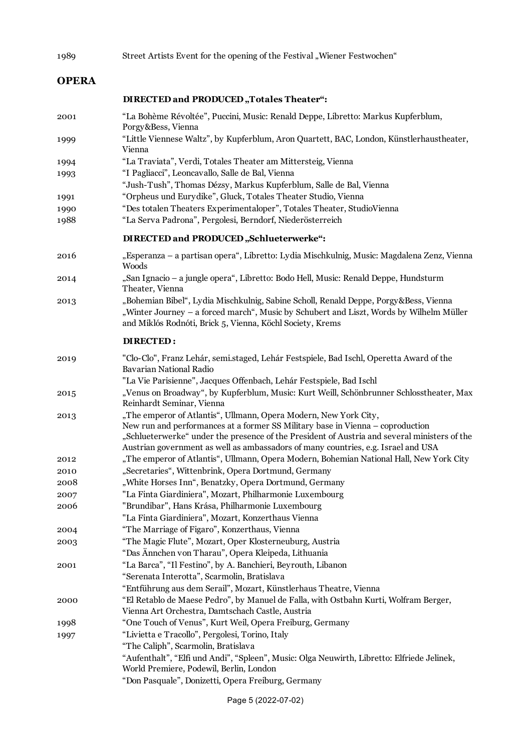| 1989         | Street Artists Event for the opening of the Festival "Wiener Festwochen"                                                                                                                                                                                                                                                                |
|--------------|-----------------------------------------------------------------------------------------------------------------------------------------------------------------------------------------------------------------------------------------------------------------------------------------------------------------------------------------|
| <b>OPERA</b> |                                                                                                                                                                                                                                                                                                                                         |
|              | DIRECTED and PRODUCED, Totales Theater":                                                                                                                                                                                                                                                                                                |
| 2001         | "La Bohème Révoltée", Puccini, Music: Renald Deppe, Libretto: Markus Kupferblum,<br>Porgy&Bess, Vienna                                                                                                                                                                                                                                  |
| 1999         | "Little Viennese Waltz", by Kupferblum, Aron Quartett, BAC, London, Künstlerhaustheater,<br>Vienna                                                                                                                                                                                                                                      |
| 1994         | "La Traviata", Verdi, Totales Theater am Mittersteig, Vienna                                                                                                                                                                                                                                                                            |
| 1993         | "I Pagliacci", Leoncavallo, Salle de Bal, Vienna<br>"Jush-Tush", Thomas Dézsy, Markus Kupferblum, Salle de Bal, Vienna                                                                                                                                                                                                                  |
| 1991         | "Orpheus und Eurydike", Gluck, Totales Theater Studio, Vienna                                                                                                                                                                                                                                                                           |
| 1990         | "Des totalen Theaters Experimentaloper", Totales Theater, StudioVienna                                                                                                                                                                                                                                                                  |
| 1988         | "La Serva Padrona", Pergolesi, Berndorf, Niederösterreich                                                                                                                                                                                                                                                                               |
|              | DIRECTED and PRODUCED "Schlueterwerke":                                                                                                                                                                                                                                                                                                 |
| 2016         | "Esperanza - a partisan opera", Libretto: Lydia Mischkulnig, Music: Magdalena Zenz, Vienna<br>Woods                                                                                                                                                                                                                                     |
| 2014         | "San Ignacio – a jungle opera", Libretto: Bodo Hell, Music: Renald Deppe, Hundsturm<br>Theater, Vienna                                                                                                                                                                                                                                  |
| 2013         | "Bohemian Bibel", Lydia Mischkulnig, Sabine Scholl, Renald Deppe, Porgy&Bess, Vienna<br>"Winter Journey - a forced march", Music by Schubert and Liszt, Words by Wilhelm Müller<br>and Miklós Rodnóti, Brick 5, Vienna, Köchl Society, Krems                                                                                            |
|              | <b>DIRECTED:</b>                                                                                                                                                                                                                                                                                                                        |
| 2019         | "Clo-Clo", Franz Lehár, semi.staged, Lehár Festspiele, Bad Ischl, Operetta Award of the<br>Bavarian National Radio                                                                                                                                                                                                                      |
|              | "La Vie Parisienne", Jacques Offenbach, Lehár Festspiele, Bad Ischl                                                                                                                                                                                                                                                                     |
| 2015         | "Venus on Broadway", by Kupferblum, Music: Kurt Weill, Schönbrunner Schlosstheater, Max<br>Reinhardt Seminar, Vienna                                                                                                                                                                                                                    |
| 2013         | "The emperor of Atlantis", Ullmann, Opera Modern, New York City,<br>New run and performances at a former SS Military base in Vienna - coproduction<br>"Schlueterwerke" under the presence of the President of Austria and several ministers of the<br>Austrian government as well as ambassadors of many countries, e.g. Israel and USA |
| 2012         | "The emperor of Atlantis", Ullmann, Opera Modern, Bohemian National Hall, New York City                                                                                                                                                                                                                                                 |
| 2010         | "Secretaries", Wittenbrink, Opera Dortmund, Germany                                                                                                                                                                                                                                                                                     |
| 2008         | "White Horses Inn", Benatzky, Opera Dortmund, Germany                                                                                                                                                                                                                                                                                   |
| 2007         | "La Finta Giardiniera", Mozart, Philharmonie Luxembourg                                                                                                                                                                                                                                                                                 |
| 2006         | "Brundibar", Hans Krása, Philharmonie Luxembourg<br>"La Finta Giardiniera", Mozart, Konzerthaus Vienna                                                                                                                                                                                                                                  |
| 2004         | "The Marriage of Figaro", Konzerthaus, Vienna                                                                                                                                                                                                                                                                                           |
| 2003         | "The Magic Flute", Mozart, Oper Klosterneuburg, Austria                                                                                                                                                                                                                                                                                 |
|              | "Das Ännchen von Tharau", Opera Kleipeda, Lithuania                                                                                                                                                                                                                                                                                     |
| 2001         | "La Barca", "Il Festino", by A. Banchieri, Beyrouth, Libanon                                                                                                                                                                                                                                                                            |
|              | "Serenata Interotta", Scarmolin, Bratislava                                                                                                                                                                                                                                                                                             |
|              | "Entführung aus dem Serail", Mozart, Künstlerhaus Theatre, Vienna                                                                                                                                                                                                                                                                       |
| 2000         | "El Retablo de Maese Pedro", by Manuel de Falla, with Ostbahn Kurti, Wolfram Berger,<br>Vienna Art Orchestra, Damtschach Castle, Austria                                                                                                                                                                                                |
| 1998         | "One Touch of Venus", Kurt Weil, Opera Freiburg, Germany                                                                                                                                                                                                                                                                                |
| 1997         | "Livietta e Tracollo", Pergolesi, Torino, Italy                                                                                                                                                                                                                                                                                         |
|              | "The Caliph", Scarmolin, Bratislava                                                                                                                                                                                                                                                                                                     |
|              | "Aufenthalt", "Elfi und Andi", "Spleen", Music: Olga Neuwirth, Libretto: Elfriede Jelinek,<br>World Premiere, Podewil, Berlin, London                                                                                                                                                                                                   |

"Don Pasquale", Donizetti, Opera Freiburg, Germany

Page 5 (2022-07-02)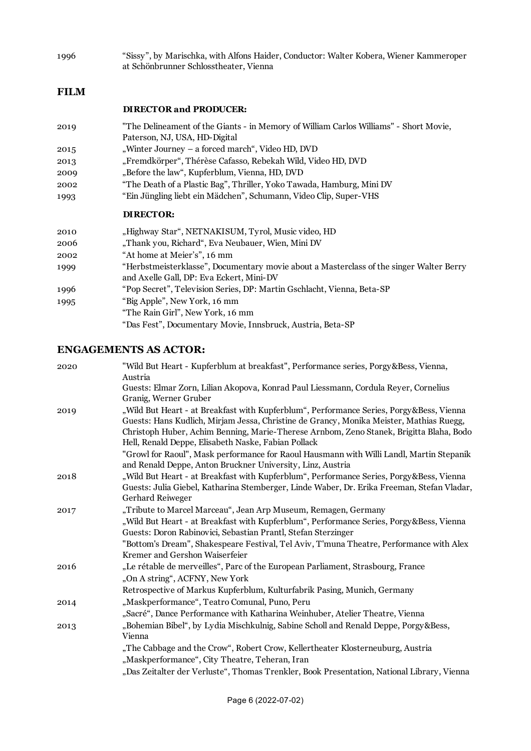1996 "Sissy", by Marischka, with Alfons Haider, Conductor: Walter Kobera, Wiener Kammeroper at Schönbrunner Schlosstheater, Vienna

#### **FILM**

#### **DIRECTOR and PRODUCER:**

- 2019 "The Delineament of the Giants in Memory of William Carlos Williams" Short Movie, Paterson, NJ, USA, HD-Digital 2015 "Winter Journey – a forced march", Video HD, DVD
- 2013 "Fremdkörper", Thérèse Cafasso, Rebekah Wild, Video HD, DVD
- 2009 "Before the law", Kupferblum, Vienna, HD, DVD
- 2002 "The Death of a Plastic Bag", Thriller, Yoko Tawada, Hamburg, Mini DV
- 1993 "Ein Jüngling liebt ein Mädchen", Schumann, Video Clip, Super-VHS

#### **DIRECTOR:**

| 2010 | "Highway Star", NETNAKISUM, Tyrol, Music video, HD                                                                                  |
|------|-------------------------------------------------------------------------------------------------------------------------------------|
| 2006 | "Thank you, Richard", Eva Neubauer, Wien, Mini DV                                                                                   |
| 2002 | "At home at Meier's", 16 mm                                                                                                         |
| 1999 | "Herbstmeisterklasse", Documentary movie about a Masterclass of the singer Walter Berry<br>and Axelle Gall, DP: Eva Eckert, Mini-DV |
| 1996 | "Pop Secret", Television Series, DP: Martin Gschlacht, Vienna, Beta-SP                                                              |
| 1995 | "Big Apple", New York, 16 mm                                                                                                        |
|      | "The Rain Girl", New York, 16 mm                                                                                                    |
|      | "Das Fest", Documentary Movie, Innsbruck, Austria, Beta-SP                                                                          |

### **ENGAGEMENTS AS ACTOR:**

| 2020 | "Wild But Heart - Kupferblum at breakfast", Performance series, Porgy&Bess, Vienna,<br>Austria                                                                                                                                                                                                                                       |
|------|--------------------------------------------------------------------------------------------------------------------------------------------------------------------------------------------------------------------------------------------------------------------------------------------------------------------------------------|
|      | Guests: Elmar Zorn, Lilian Akopova, Konrad Paul Liessmann, Cordula Reyer, Cornelius<br>Granig, Werner Gruber                                                                                                                                                                                                                         |
| 2019 | "Wild But Heart - at Breakfast with Kupferblum", Performance Series, Porgy&Bess, Vienna<br>Guests: Hans Kudlich, Mirjam Jessa, Christine de Grancy, Monika Meister, Mathias Ruegg,<br>Christoph Huber, Achim Benning, Marie-Therese Arnbom, Zeno Stanek, Brigitta Blaha, Bodo<br>Hell, Renald Deppe, Elisabeth Naske, Fabian Pollack |
|      | "Growl for Raoul", Mask performance for Raoul Hausmann with Willi Landl, Martin Stepanik<br>and Renald Deppe, Anton Bruckner University, Linz, Austria                                                                                                                                                                               |
| 2018 | "Wild But Heart - at Breakfast with Kupferblum", Performance Series, Porgy&Bess, Vienna<br>Guests: Julia Giebel, Katharina Stemberger, Linde Waber, Dr. Erika Freeman, Stefan Vladar,<br>Gerhard Reiweger                                                                                                                            |
| 2017 | "Tribute to Marcel Marceau", Jean Arp Museum, Remagen, Germany                                                                                                                                                                                                                                                                       |
|      | "Wild But Heart - at Breakfast with Kupferblum", Performance Series, Porgy&Bess, Vienna<br>Guests: Doron Rabinovici, Sebastian Prantl, Stefan Sterzinger                                                                                                                                                                             |
|      | "Bottom's Dream", Shakespeare Festival, Tel Aviv, T'muna Theatre, Performance with Alex<br>Kremer and Gershon Waiserfeier                                                                                                                                                                                                            |
| 2016 | "Le rétable de merveilles", Parc of the European Parliament, Strasbourg, France                                                                                                                                                                                                                                                      |
|      | "On A string", ACFNY, New York                                                                                                                                                                                                                                                                                                       |
|      | Retrospective of Markus Kupferblum, Kulturfabrik Pasing, Munich, Germany                                                                                                                                                                                                                                                             |
| 2014 | "Maskperformance", Teatro Comunal, Puno, Peru                                                                                                                                                                                                                                                                                        |
|      | "Sacré", Dance Performance with Katharina Weinhuber, Atelier Theatre, Vienna                                                                                                                                                                                                                                                         |
| 2013 | "Bohemian Bibel", by Lydia Mischkulnig, Sabine Scholl and Renald Deppe, Porgy&Bess,<br>Vienna                                                                                                                                                                                                                                        |
|      | "The Cabbage and the Crow", Robert Crow, Kellertheater Klosterneuburg, Austria                                                                                                                                                                                                                                                       |
|      | "Maskperformance", City Theatre, Teheran, Iran                                                                                                                                                                                                                                                                                       |
|      | "Das Zeitalter der Verluste", Thomas Trenkler, Book Presentation, National Library, Vienna                                                                                                                                                                                                                                           |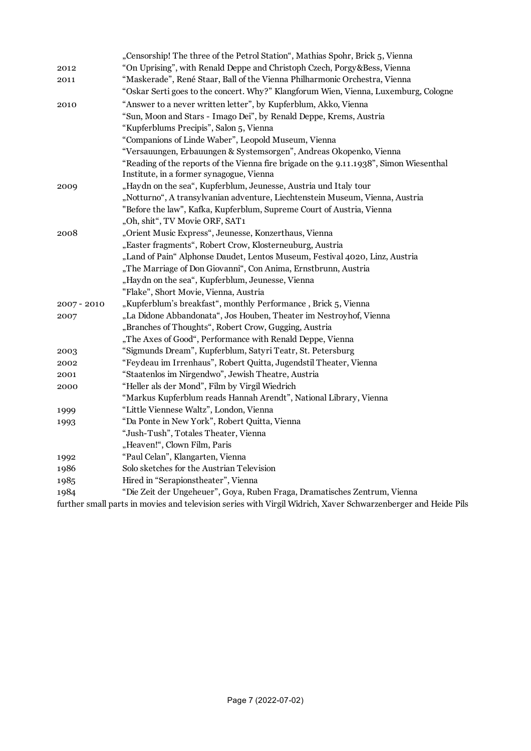|               | "Censorship! The three of the Petrol Station", Mathias Spohr, Brick 5, Vienna                              |
|---------------|------------------------------------------------------------------------------------------------------------|
| 2012          | "On Uprising", with Renald Deppe and Christoph Czech, Porgy&Bess, Vienna                                   |
| 2011          | "Maskerade", René Staar, Ball of the Vienna Philharmonic Orchestra, Vienna                                 |
|               | "Oskar Serti goes to the concert. Why?" Klangforum Wien, Vienna, Luxemburg, Cologne                        |
| 2010          | "Answer to a never written letter", by Kupferblum, Akko, Vienna                                            |
|               | "Sun, Moon and Stars - Imago Dei", by Renald Deppe, Krems, Austria                                         |
|               | "Kupferblums Precipis", Salon 5, Vienna                                                                    |
|               | "Companions of Linde Waber", Leopold Museum, Vienna                                                        |
|               | "Versauungen, Erbauungen & Systemsorgen", Andreas Okopenko, Vienna                                         |
|               | "Reading of the reports of the Vienna fire brigade on the 9.11.1938", Simon Wiesenthal                     |
|               | Institute, in a former synagogue, Vienna                                                                   |
| 2009          | "Haydn on the sea", Kupferblum, Jeunesse, Austria und Italy tour                                           |
|               | "Notturno", A transylvanian adventure, Liechtenstein Museum, Vienna, Austria                               |
|               | "Before the law", Kafka, Kupferblum, Supreme Court of Austria, Vienna                                      |
|               | "Oh, shit", TV Movie ORF, SAT1                                                                             |
| 2008          | "Orient Music Express", Jeunesse, Konzerthaus, Vienna                                                      |
|               | "Easter fragments", Robert Crow, Klosterneuburg, Austria                                                   |
|               | "Land of Pain" Alphonse Daudet, Lentos Museum, Festival 4020, Linz, Austria                                |
|               | "The Marriage of Don Giovanni", Con Anima, Ernstbrunn, Austria                                             |
|               | "Haydn on the sea", Kupferblum, Jeunesse, Vienna                                                           |
|               | "Flake", Short Movie, Vienna, Austria                                                                      |
| $2007 - 2010$ | "Kupferblum's breakfast", monthly Performance, Brick 5, Vienna                                             |
| 2007          | "La Didone Abbandonata", Jos Houben, Theater im Nestroyhof, Vienna                                         |
|               | "Branches of Thoughts", Robert Crow, Gugging, Austria                                                      |
|               | "The Axes of Good", Performance with Renald Deppe, Vienna                                                  |
| 2003          | "Sigmunds Dream", Kupferblum, Satyri Teatr, St. Petersburg                                                 |
| 2002          | "Feydeau im Irrenhaus", Robert Quitta, Jugendstil Theater, Vienna                                          |
| 2001          | "Staatenlos im Nirgendwo", Jewish Theatre, Austria                                                         |
| 2000          | "Heller als der Mond", Film by Virgil Wiedrich                                                             |
|               | "Markus Kupferblum reads Hannah Arendt", National Library, Vienna                                          |
| 1999          | "Little Viennese Waltz", London, Vienna                                                                    |
| 1993          | "Da Ponte in New York", Robert Quitta, Vienna                                                              |
|               | "Jush-Tush", Totales Theater, Vienna                                                                       |
|               | "Heaven!", Clown Film, Paris                                                                               |
| 1992          | "Paul Celan", Klangarten, Vienna                                                                           |
| 1986          | Solo sketches for the Austrian Television                                                                  |
| 1985          | Hired in "Serapionstheater", Vienna                                                                        |
| 1984          | "Die Zeit der Ungeheuer", Goya, Ruben Fraga, Dramatisches Zentrum, Vienna                                  |
|               | fund on anoll nome in monica and television contagraph Wineil Widuich, Verson Cohresponde once and Utaida. |

further small parts in movies and television series with Virgil Widrich, Xaver Schwarzenberger and Heide Pils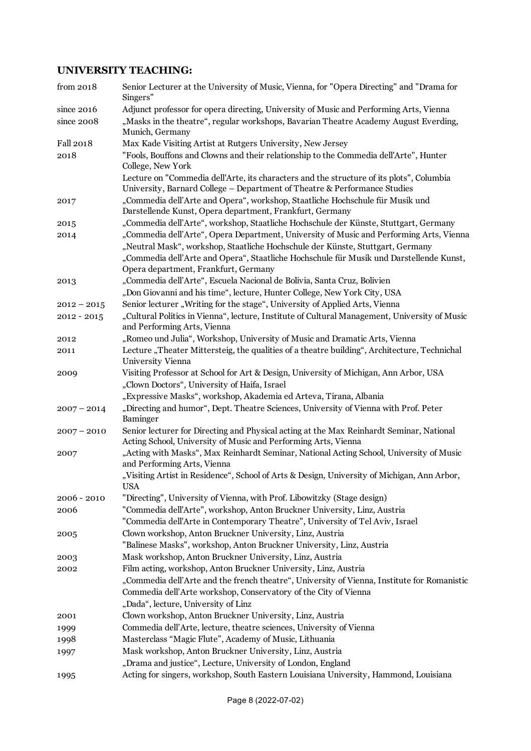# **UNIVERSITY TEACHING:**

| from 2018                | Senior Lecturer at the University of Music, Vienna, for "Opera Directing" and "Drama for<br>Singers"                                                                                                                                                                                                         |
|--------------------------|--------------------------------------------------------------------------------------------------------------------------------------------------------------------------------------------------------------------------------------------------------------------------------------------------------------|
| since 2016<br>since 2008 | Adjunct professor for opera directing, University of Music and Performing Arts, Vienna<br>"Masks in the theatre", regular workshops, Bavarian Theatre Academy August Everding,<br>Munich, Germany                                                                                                            |
| Fall 2018                | Max Kade Visiting Artist at Rutgers University, New Jersey                                                                                                                                                                                                                                                   |
| 2018                     | "Fools, Bouffons and Clowns and their relationship to the Commedia dell'Arte", Hunter<br>College, New York                                                                                                                                                                                                   |
|                          | Lecture on "Commedia dell'Arte, its characters and the structure of its plots", Columbia                                                                                                                                                                                                                     |
|                          | University, Barnard College - Department of Theatre & Performance Studies                                                                                                                                                                                                                                    |
| 2017                     | "Commedia dell'Arte and Opera", workshop, Staatliche Hochschule für Musik und<br>Darstellende Kunst, Opera department, Frankfurt, Germany                                                                                                                                                                    |
| 2015                     | "Commedia dell'Arte", workshop, Staatliche Hochschule der Künste, Stuttgart, Germany                                                                                                                                                                                                                         |
| 2014                     | "Commedia dell'Arte", Opera Department, University of Music and Performing Arts, Vienna<br>"Neutral Mask", workshop, Staatliche Hochschule der Künste, Stuttgart, Germany<br>"Commedia dell'Arte and Opera", Staatliche Hochschule für Musik und Darstellende Kunst,<br>Opera department, Frankfurt, Germany |
| 2013                     | "Commedia dell'Arte", Escuela Nacional de Bolivia, Santa Cruz, Bolivien                                                                                                                                                                                                                                      |
|                          | "Don Giovanni and his time", lecture, Hunter College, New York City, USA                                                                                                                                                                                                                                     |
| $2012 - 2015$            | Senior lecturer "Writing for the stage", University of Applied Arts, Vienna                                                                                                                                                                                                                                  |
| $2012 - 2015$            | "Cultural Politics in Vienna", lecture, Institute of Cultural Management, University of Music                                                                                                                                                                                                                |
|                          | and Performing Arts, Vienna                                                                                                                                                                                                                                                                                  |
| 2012                     | "Romeo und Julia", Workshop, University of Music and Dramatic Arts, Vienna                                                                                                                                                                                                                                   |
| 2011                     | Lecture "Theater Mittersteig, the qualities of a theatre building", Architecture, Technichal<br>University Vienna                                                                                                                                                                                            |
| 2009                     | Visiting Professor at School for Art & Design, University of Michigan, Ann Arbor, USA<br>"Clown Doctors", University of Haifa, Israel                                                                                                                                                                        |
|                          | "Expressive Masks", workshop, Akademia ed Arteva, Tirana, Albania                                                                                                                                                                                                                                            |
| $2007 - 2014$            | "Directing and humor", Dept. Theatre Sciences, University of Vienna with Prof. Peter<br>Baminger                                                                                                                                                                                                             |
| $2007 - 2010$            | Senior lecturer for Directing and Physical acting at the Max Reinhardt Seminar, National<br>Acting School, University of Music and Performing Arts, Vienna                                                                                                                                                   |
| 2007                     | "Acting with Masks", Max Reinhardt Seminar, National Acting School, University of Music<br>and Performing Arts, Vienna                                                                                                                                                                                       |
|                          | "Visiting Artist in Residence", School of Arts & Design, University of Michigan, Ann Arbor,<br><b>USA</b>                                                                                                                                                                                                    |
| $2006 - 2010$            | "Directing", University of Vienna, with Prof. Libowitzky (Stage design)                                                                                                                                                                                                                                      |
| 2006                     | "Commedia dell'Arte", workshop, Anton Bruckner University, Linz, Austria                                                                                                                                                                                                                                     |
|                          | "Commedia dell'Arte in Contemporary Theatre", University of Tel Aviv, Israel                                                                                                                                                                                                                                 |
| 2005                     | Clown workshop, Anton Bruckner University, Linz, Austria                                                                                                                                                                                                                                                     |
|                          | "Balinese Masks", workshop, Anton Bruckner University, Linz, Austria                                                                                                                                                                                                                                         |
| 2003                     | Mask workshop, Anton Bruckner University, Linz, Austria                                                                                                                                                                                                                                                      |
| 2002                     | Film acting, workshop, Anton Bruckner University, Linz, Austria                                                                                                                                                                                                                                              |
|                          | "Commedia dell'Arte and the french theatre", University of Vienna, Institute for Romanistic                                                                                                                                                                                                                  |
|                          | Commedia dell'Arte workshop, Conservatory of the City of Vienna                                                                                                                                                                                                                                              |
|                          | "Dada", lecture, University of Linz                                                                                                                                                                                                                                                                          |
| 2001                     | Clown workshop, Anton Bruckner University, Linz, Austria                                                                                                                                                                                                                                                     |
| 1999                     | Commedia dell'Arte, lecture, theatre sciences, University of Vienna<br>Masterclass "Magic Flute", Academy of Music, Lithuania                                                                                                                                                                                |
| 1998<br>1997             | Mask workshop, Anton Bruckner University, Linz, Austria                                                                                                                                                                                                                                                      |
|                          | "Drama and justice", Lecture, University of London, England                                                                                                                                                                                                                                                  |
| 1995                     | Acting for singers, workshop, South Eastern Louisiana University, Hammond, Louisiana                                                                                                                                                                                                                         |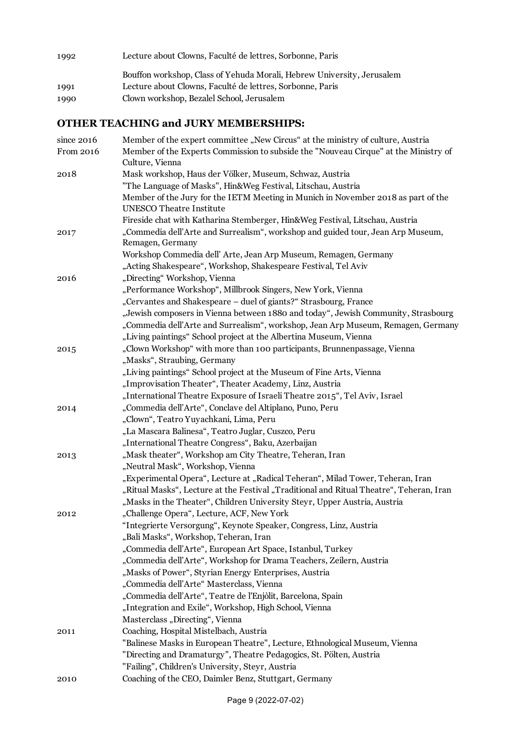1992 Lecture about Clowns, Faculté de lettres, Sorbonne, Paris

Bouffon workshop, Class of Yehuda Morali, Hebrew University, Jerusalem 1991 Lecture about Clowns, Faculté de lettres, Sorbonne, Paris

# 1990 Clown workshop, Bezalel School, Jerusalem

### **OTHER TEACHING and JURY MEMBERSHIPS:**

| since $2016$ | Member of the expert committee "New Circus" at the ministry of culture, Austria                        |
|--------------|--------------------------------------------------------------------------------------------------------|
| From 2016    | Member of the Experts Commission to subside the "Nouveau Cirque" at the Ministry of<br>Culture, Vienna |
| 2018         | Mask workshop, Haus der Völker, Museum, Schwaz, Austria                                                |
|              | "The Language of Masks", Hin&Weg Festival, Litschau, Austria                                           |
|              | Member of the Jury for the IETM Meeting in Munich in November 2018 as part of the                      |
|              | <b>UNESCO</b> Theatre Institute                                                                        |
|              | Fireside chat with Katharina Stemberger, Hin&Weg Festival, Litschau, Austria                           |
| 2017         | "Commedia dell'Arte and Surrealism", workshop and guided tour, Jean Arp Museum,<br>Remagen, Germany    |
|              | Workshop Commedia dell' Arte, Jean Arp Museum, Remagen, Germany                                        |
|              | "Acting Shakespeare", Workshop, Shakespeare Festival, Tel Aviv                                         |
| 2016         | "Directing" Workshop, Vienna                                                                           |
|              | "Performance Workshop", Millbrook Singers, New York, Vienna                                            |
|              | "Cervantes and Shakespeare - duel of giants?" Strasbourg, France                                       |
|              | "Jewish composers in Vienna between 1880 and today", Jewish Community, Strasbourg                      |
|              | "Commedia dell'Arte and Surrealism", workshop, Jean Arp Museum, Remagen, Germany                       |
|              | "Living paintings" School project at the Albertina Museum, Vienna                                      |
| 2015         | "Clown Workshop" with more than 100 participants, Brunnenpassage, Vienna                               |
|              | "Masks", Straubing, Germany                                                                            |
|              | "Living paintings" School project at the Museum of Fine Arts, Vienna                                   |
|              | "Improvisation Theater", Theater Academy, Linz, Austria                                                |
|              | "International Theatre Exposure of Israeli Theatre 2015", Tel Aviv, Israel                             |
| 2014         | "Commedia dell'Arte", Conclave del Altiplano, Puno, Peru                                               |
|              | "Clown", Teatro Yuyachkani, Lima, Peru                                                                 |
|              | "La Mascara Balinesa", Teatro Juglar, Cuszco, Peru                                                     |
|              | "International Theatre Congress", Baku, Azerbaijan                                                     |
| 2013         | "Mask theater", Workshop am City Theatre, Teheran, Iran                                                |
|              | "Neutral Mask", Workshop, Vienna                                                                       |
|              | "Experimental Opera", Lecture at "Radical Teheran", Milad Tower, Teheran, Iran                         |
|              | "Ritual Masks", Lecture at the Festival "Traditional and Ritual Theatre", Teheran, Iran                |
|              | "Masks in the Theater", Children University Steyr, Upper Austria, Austria                              |
| 2012         | "Challenge Opera", Lecture, ACF, New York                                                              |
|              | "Integrierte Versorgung", Keynote Speaker, Congress, Linz, Austria                                     |
|              | "Bali Masks", Workshop, Teheran, Iran                                                                  |
|              | "Commedia dell'Arte", European Art Space, Istanbul, Turkey                                             |
|              | "Commedia dell'Arte", Workshop for Drama Teachers, Zeilern, Austria                                    |
|              | "Masks of Power", Styrian Energy Enterprises, Austria                                                  |
|              | "Commedia dell'Arte" Masterclass, Vienna                                                               |
|              | "Commedia dell'Arte", Teatre de l'Enjòlit, Barcelona, Spain                                            |
|              | "Integration and Exile", Workshop, High School, Vienna                                                 |
|              | Masterclass "Directing", Vienna                                                                        |
| 2011         | Coaching, Hospital Mistelbach, Austria                                                                 |
|              | "Balinese Masks in European Theatre", Lecture, Ethnological Museum, Vienna                             |
|              | "Directing and Dramaturgy", Theatre Pedagogics, St. Pölten, Austria                                    |
|              | "Failing", Children's University, Steyr, Austria                                                       |
| 2010         | Coaching of the CEO, Daimler Benz, Stuttgart, Germany                                                  |
|              |                                                                                                        |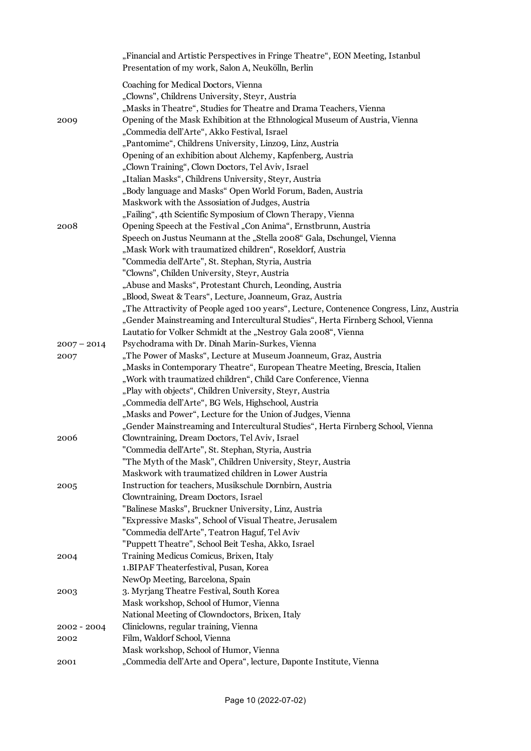|               | "Financial and Artistic Perspectives in Fringe Theatre", EON Meeting, Istanbul<br>Presentation of my work, Salon A, Neukölln, Berlin |
|---------------|--------------------------------------------------------------------------------------------------------------------------------------|
|               | Coaching for Medical Doctors, Vienna<br>"Clowns", Childrens University, Steyr, Austria                                               |
|               | "Masks in Theatre", Studies for Theatre and Drama Teachers, Vienna                                                                   |
| 2009          | Opening of the Mask Exhibition at the Ethnological Museum of Austria, Vienna                                                         |
|               | "Commedia dell'Arte", Akko Festival, Israel                                                                                          |
|               | "Pantomime", Childrens University, Linzo9, Linz, Austria                                                                             |
|               | Opening of an exhibition about Alchemy, Kapfenberg, Austria                                                                          |
|               | "Clown Training", Clown Doctors, Tel Aviv, Israel                                                                                    |
|               | "Italian Masks", Childrens University, Steyr, Austria                                                                                |
|               | "Body language and Masks" Open World Forum, Baden, Austria                                                                           |
|               | Maskwork with the Assosiation of Judges, Austria                                                                                     |
|               | "Failing", 4th Scientific Symposium of Clown Therapy, Vienna                                                                         |
| 2008          | Opening Speech at the Festival "Con Anima", Ernstbrunn, Austria                                                                      |
|               | Speech on Justus Neumann at the "Stella 2008" Gala, Dschungel, Vienna<br>"Mask Work with traumatized children", Roseldorf, Austria   |
|               | "Commedia dell'Arte", St. Stephan, Styria, Austria                                                                                   |
|               | "Clowns", Childen University, Steyr, Austria                                                                                         |
|               | "Abuse and Masks", Protestant Church, Leonding, Austria                                                                              |
|               | "Blood, Sweat & Tears", Lecture, Joanneum, Graz, Austria                                                                             |
|               | "The Attractivity of People aged 100 years", Lecture, Contenence Congress, Linz, Austria                                             |
|               | "Gender Mainstreaming and Intercultural Studies", Herta Firnberg School, Vienna                                                      |
|               | Lautatio for Volker Schmidt at the "Nestroy Gala 2008", Vienna                                                                       |
| $2007 - 2014$ | Psychodrama with Dr. Dinah Marin-Surkes, Vienna                                                                                      |
| 2007          | "The Power of Masks", Lecture at Museum Joanneum, Graz, Austria                                                                      |
|               | "Masks in Contemporary Theatre", European Theatre Meeting, Brescia, Italien                                                          |
|               | "Work with traumatized children", Child Care Conference, Vienna                                                                      |
|               | "Play with objects", Children University, Steyr, Austria                                                                             |
|               | "Commedia dell'Arte", BG Wels, Highschool, Austria                                                                                   |
|               | "Masks and Power", Lecture for the Union of Judges, Vienna                                                                           |
|               | "Gender Mainstreaming and Intercultural Studies", Herta Firnberg School, Vienna                                                      |
| 2006          | Clowntraining, Dream Doctors, Tel Aviv, Israel                                                                                       |
|               | "Commedia dell'Arte", St. Stephan, Styria, Austria                                                                                   |
|               | "The Myth of the Mask", Children University, Steyr, Austria                                                                          |
|               | Maskwork with traumatized children in Lower Austria                                                                                  |
| 2005          | Instruction for teachers, Musikschule Dornbirn, Austria                                                                              |
|               | Clowntraining, Dream Doctors, Israel                                                                                                 |
|               | "Balinese Masks", Bruckner University, Linz, Austria                                                                                 |
|               | "Expressive Masks", School of Visual Theatre, Jerusalem                                                                              |
|               | "Commedia dell'Arte", Teatron Haguf, Tel Aviv                                                                                        |
|               | "Puppett Theatre", School Beit Tesha, Akko, Israel                                                                                   |
| 2004          | Training Medicus Comicus, Brixen, Italy                                                                                              |
|               | 1. BIPAF Theaterfestival, Pusan, Korea                                                                                               |
|               | NewOp Meeting, Barcelona, Spain                                                                                                      |
| 2003          | 3. Myrjang Theatre Festival, South Korea                                                                                             |
|               | Mask workshop, School of Humor, Vienna                                                                                               |
|               | National Meeting of Clowndoctors, Brixen, Italy                                                                                      |
| $2002 - 2004$ | Cliniclowns, regular training, Vienna                                                                                                |
| 2002          | Film, Waldorf School, Vienna<br>Mask workshop, School of Humor, Vienna                                                               |
|               | "Commedia dell'Arte and Opera", lecture, Daponte Institute, Vienna                                                                   |
| 2001          |                                                                                                                                      |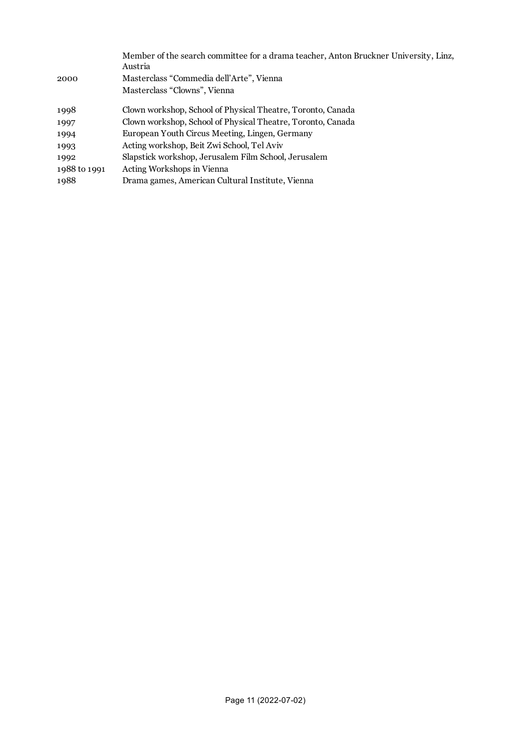| 2000         | Member of the search committee for a drama teacher, Anton Bruckner University, Linz,<br>Austria<br>Masterclass "Commedia dell'Arte", Vienna |
|--------------|---------------------------------------------------------------------------------------------------------------------------------------------|
|              | Masterclass "Clowns", Vienna                                                                                                                |
| 1998         | Clown workshop, School of Physical Theatre, Toronto, Canada                                                                                 |
| 1997         | Clown workshop, School of Physical Theatre, Toronto, Canada                                                                                 |
| 1994         | European Youth Circus Meeting, Lingen, Germany                                                                                              |
| 1993         | Acting workshop, Beit Zwi School, Tel Aviv                                                                                                  |
| 1992         | Slapstick workshop, Jerusalem Film School, Jerusalem                                                                                        |
| 1988 to 1991 | Acting Workshops in Vienna                                                                                                                  |
| 1988         | Drama games, American Cultural Institute, Vienna                                                                                            |
|              |                                                                                                                                             |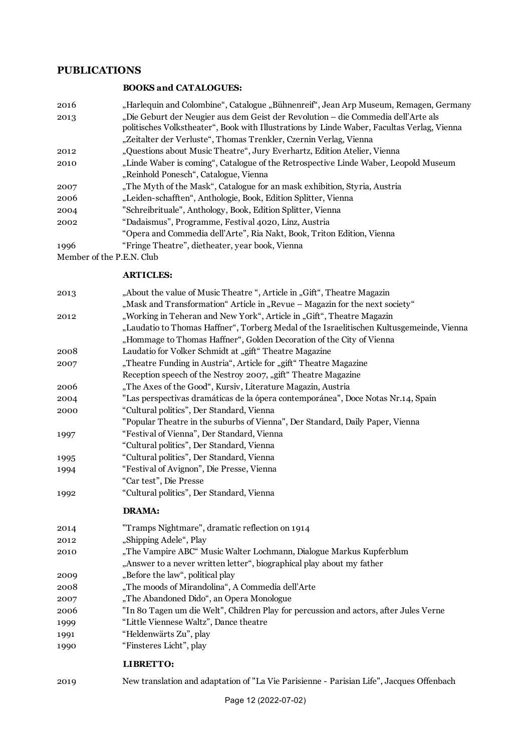#### **PUBLICATIONS**

#### **BOOKS and CATALOGUES:**

| 2016 | "Harlequin and Colombine", Catalogue "Bühnenreif", Jean Arp Museum, Remagen, Germany       |
|------|--------------------------------------------------------------------------------------------|
| 2013 | "Die Geburt der Neugier aus dem Geist der Revolution – die Commedia dell'Arte als          |
|      | politisches Volkstheater", Book with Illustrations by Linde Waber, Facultas Verlag, Vienna |
|      | "Zeitalter der Verluste", Thomas Trenkler, Czernin Verlag, Vienna                          |
| 2012 | "Questions about Music Theatre", Jury Everhartz, Edition Atelier, Vienna                   |
| 2010 | "Linde Waber is coming", Catalogue of the Retrospective Linde Waber, Leopold Museum        |
|      | "Reinhold Ponesch", Catalogue, Vienna                                                      |
| 2007 | "The Myth of the Mask", Catalogue for an mask exhibition, Styria, Austria                  |
| 2006 | "Leiden-schafften", Anthologie, Book, Edition Splitter, Vienna                             |
| 2004 | "Schreibrituale", Anthology, Book, Edition Splitter, Vienna                                |
| 2002 | "Dadaismus", Programme, Festival 4020, Linz, Austria                                       |
|      | "Opera and Commedia dell'Arte", Ria Nakt, Book, Triton Edition, Vienna                     |
| 1996 | "Fringe Theatre", dietheater, year book, Vienna                                            |
|      |                                                                                            |

Member of the P.E.N. Club

#### **ARTICLES:**

| 2013 | "About the value of Music Theatre", Article in "Gift", Theatre Magazin                   |
|------|------------------------------------------------------------------------------------------|
|      | "Mask and Transformation" Article in "Revue – Magazin for the next society"              |
| 2012 | "Working in Teheran and New York", Article in "Gift", Theatre Magazin                    |
|      | "Laudatio to Thomas Haffner", Torberg Medal of the Israelitischen Kultusgemeinde, Vienna |
|      | "Hommage to Thomas Haffner", Golden Decoration of the City of Vienna                     |
| 2008 | Laudatio for Volker Schmidt at "gift" Theatre Magazine                                   |
| 2007 | "Theatre Funding in Austria", Article for "gift" Theatre Magazine                        |
|      | Reception speech of the Nestroy 2007, "gift" Theatre Magazine                            |
| 2006 | "The Axes of the Good", Kursiv, Literature Magazin, Austria                              |
| 2004 | "Las perspectivas dramáticas de la ópera contemporánea", Doce Notas Nr.14, Spain         |
| 2000 | "Cultural politics", Der Standard, Vienna                                                |
|      | "Popular Theatre in the suburbs of Vienna", Der Standard, Daily Paper, Vienna            |
| 1997 | "Festival of Vienna", Der Standard, Vienna                                               |
|      | "Cultural politics", Der Standard, Vienna                                                |
| 1995 | "Cultural politics", Der Standard, Vienna                                                |
| 1994 | "Festival of Avignon", Die Presse, Vienna                                                |
|      | "Car test", Die Presse                                                                   |
| 1992 | "Cultural politics", Der Standard, Vienna                                                |
|      | <b>DRAMA:</b>                                                                            |
| 2014 | "Tramps Nightmare", dramatic reflection on 1914                                          |
| 2012 | "Shipping Adele", Play                                                                   |
| 2010 | "The Vampire ABC" Music Walter Lochmann, Dialogue Markus Kupferblum                      |
|      | "Answer to a never written letter", biographical play about my father                    |
| 2009 | "Before the law", political play                                                         |
| 2008 | "The moods of Mirandolina", A Commedia dell'Arte                                         |
| 2007 | "The Abandoned Dido", an Opera Monologue                                                 |
| 2006 | "In 80 Tagen um die Welt", Children Play for percussion and actors, after Jules Verne    |
| 1999 | "Little Viennese Waltz", Dance theatre                                                   |
| 1991 | "Heldenwärts Zu", play                                                                   |
| 1990 | "Finsteres Licht", play                                                                  |
|      | <b>LIBRETTO:</b>                                                                         |

New translation and adaptation of "La Vie Parisienne - Parisian Life", Jacques Offenbach